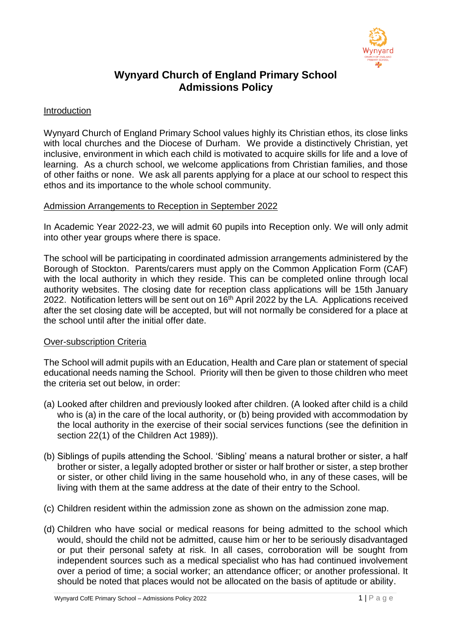

# **Wynyard Church of England Primary School Admissions Policy**

#### Introduction

Wynyard Church of England Primary School values highly its Christian ethos, its close links with local churches and the Diocese of Durham. We provide a distinctively Christian, yet inclusive, environment in which each child is motivated to acquire skills for life and a love of learning. As a church school, we welcome applications from Christian families, and those of other faiths or none. We ask all parents applying for a place at our school to respect this ethos and its importance to the whole school community.

#### Admission Arrangements to Reception in September 2022

In Academic Year 2022-23, we will admit 60 pupils into Reception only. We will only admit into other year groups where there is space.

The school will be participating in coordinated admission arrangements administered by the Borough of Stockton. Parents/carers must apply on the Common Application Form (CAF) with the local authority in which they reside. This can be completed online through local authority websites. The closing date for reception class applications will be 15th January 2022. Notification letters will be sent out on 16<sup>th</sup> April 2022 by the LA. Applications received after the set closing date will be accepted, but will not normally be considered for a place at the school until after the initial offer date.

### Over-subscription Criteria

The School will admit pupils with an Education, Health and Care plan or statement of special educational needs naming the School. Priority will then be given to those children who meet the criteria set out below, in order:

- (a) Looked after children and previously looked after children. (A looked after child is a child who is (a) in the care of the local authority, or (b) being provided with accommodation by the local authority in the exercise of their social services functions (see the definition in section 22(1) of the Children Act 1989)).
- (b) Siblings of pupils attending the School. 'Sibling' means a natural brother or sister, a half brother or sister, a legally adopted brother or sister or half brother or sister, a step brother or sister, or other child living in the same household who, in any of these cases, will be living with them at the same address at the date of their entry to the School.
- (c) Children resident within the admission zone as shown on the admission zone map.
- (d) Children who have social or medical reasons for being admitted to the school which would, should the child not be admitted, cause him or her to be seriously disadvantaged or put their personal safety at risk. In all cases, corroboration will be sought from independent sources such as a medical specialist who has had continued involvement over a period of time; a social worker; an attendance officer; or another professional. It should be noted that places would not be allocated on the basis of aptitude or ability.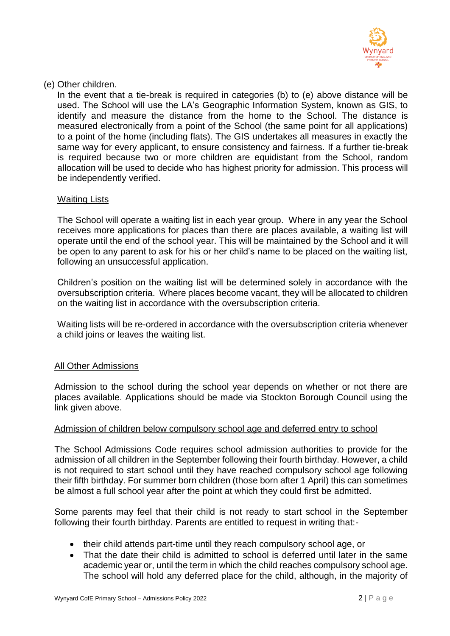

(e) Other children.

In the event that a tie-break is required in categories (b) to (e) above distance will be used. The School will use the LA's Geographic Information System, known as GIS, to identify and measure the distance from the home to the School. The distance is measured electronically from a point of the School (the same point for all applications) to a point of the home (including flats). The GIS undertakes all measures in exactly the same way for every applicant, to ensure consistency and fairness. If a further tie-break is required because two or more children are equidistant from the School, random allocation will be used to decide who has highest priority for admission. This process will be independently verified.

### Waiting Lists

The School will operate a waiting list in each year group. Where in any year the School receives more applications for places than there are places available, a waiting list will operate until the end of the school year. This will be maintained by the School and it will be open to any parent to ask for his or her child's name to be placed on the waiting list, following an unsuccessful application.

Children's position on the waiting list will be determined solely in accordance with the oversubscription criteria. Where places become vacant, they will be allocated to children on the waiting list in accordance with the oversubscription criteria.

Waiting lists will be re-ordered in accordance with the oversubscription criteria whenever a child joins or leaves the waiting list.

### All Other Admissions

Admission to the school during the school year depends on whether or not there are places available. Applications should be made via Stockton Borough Council using the link given above.

### Admission of children below compulsory school age and deferred entry to school

The School Admissions Code requires school admission authorities to provide for the admission of all children in the September following their fourth birthday. However, a child is not required to start school until they have reached compulsory school age following their fifth birthday. For summer born children (those born after 1 April) this can sometimes be almost a full school year after the point at which they could first be admitted.

Some parents may feel that their child is not ready to start school in the September following their fourth birthday. Parents are entitled to request in writing that:-

- their child attends part-time until they reach compulsory school age, or
- That the date their child is admitted to school is deferred until later in the same academic year or, until the term in which the child reaches compulsory school age. The school will hold any deferred place for the child, although, in the majority of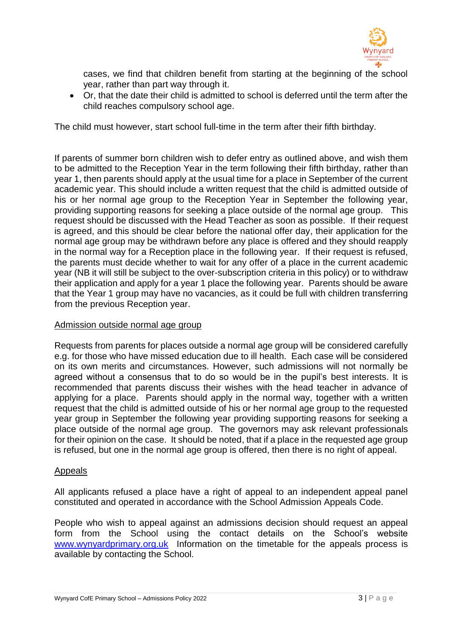

cases, we find that children benefit from starting at the beginning of the school year, rather than part way through it.

• Or, that the date their child is admitted to school is deferred until the term after the child reaches compulsory school age.

The child must however, start school full-time in the term after their fifth birthday.

If parents of summer born children wish to defer entry as outlined above, and wish them to be admitted to the Reception Year in the term following their fifth birthday, rather than year 1, then parents should apply at the usual time for a place in September of the current academic year. This should include a written request that the child is admitted outside of his or her normal age group to the Reception Year in September the following year, providing supporting reasons for seeking a place outside of the normal age group. This request should be discussed with the Head Teacher as soon as possible. If their request is agreed, and this should be clear before the national offer day, their application for the normal age group may be withdrawn before any place is offered and they should reapply in the normal way for a Reception place in the following year. If their request is refused, the parents must decide whether to wait for any offer of a place in the current academic year (NB it will still be subject to the over-subscription criteria in this policy) or to withdraw their application and apply for a year 1 place the following year. Parents should be aware that the Year 1 group may have no vacancies, as it could be full with children transferring from the previous Reception year.

### Admission outside normal age group

Requests from parents for places outside a normal age group will be considered carefully e.g. for those who have missed education due to ill health. Each case will be considered on its own merits and circumstances. However, such admissions will not normally be agreed without a consensus that to do so would be in the pupil's best interests. It is recommended that parents discuss their wishes with the head teacher in advance of applying for a place. Parents should apply in the normal way, together with a written request that the child is admitted outside of his or her normal age group to the requested year group in September the following year providing supporting reasons for seeking a place outside of the normal age group. The governors may ask relevant professionals for their opinion on the case. It should be noted, that if a place in the requested age group is refused, but one in the normal age group is offered, then there is no right of appeal.

### Appeals

All applicants refused a place have a right of appeal to an independent appeal panel constituted and operated in accordance with the School Admission Appeals Code.

People who wish to appeal against an admissions decision should request an appeal form from the School using the contact details on the School's website [www.wynyardprimary.org.uk](http://www.wynyardprimary.org.uk/) Information on the timetable for the appeals process is available by contacting the School.